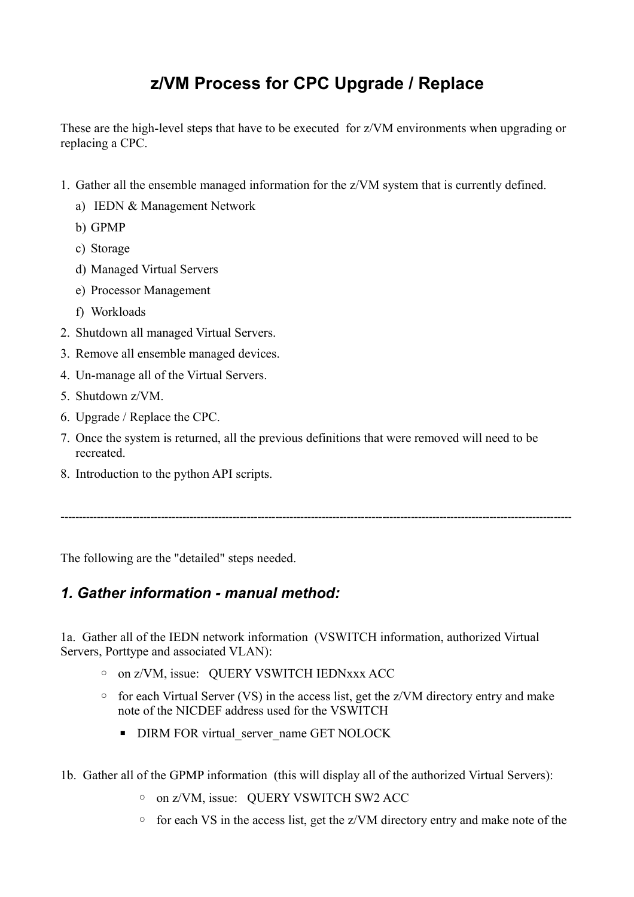# **z/VM Process for CPC Upgrade / Replace**

These are the high-level steps that have to be executed for z/VM environments when upgrading or replacing a CPC.

- 1. Gather all the ensemble managed information for the z/VM system that is currently defined.
	- a) IEDN & Management Network
	- b) GPMP
	- c) Storage
	- d) Managed Virtual Servers
	- e) Processor Management
	- f) Workloads
- 2. Shutdown all managed Virtual Servers.
- 3. Remove all ensemble managed devices.
- 4. Un-manage all of the Virtual Servers.
- 5. Shutdown z/VM.
- 6. Upgrade / Replace the CPC.
- 7. Once the system is returned, all the previous definitions that were removed will need to be recreated.

-----------------------------------------------------------------------------------------------------------------------------------------------

8. Introduction to the python API scripts.

The following are the "detailed" steps needed.

### *1. Gather information - manual method:*

1a. Gather all of the IEDN network information (VSWITCH information, authorized Virtual Servers, Porttype and associated VLAN):

- on z/VM, issue: QUERY VSWITCH IEDNxxx ACC
- for each Virtual Server (VS) in the access list, get the z/VM directory entry and make note of the NICDEF address used for the VSWITCH
	- **DIRM FOR virtual\_server\_name GET NOLOCK**
- 1b. Gather all of the GPMP information (this will display all of the authorized Virtual Servers):
	- on z/VM, issue: QUERY VSWITCH SW2 ACC
	- for each VS in the access list, get the z/VM directory entry and make note of the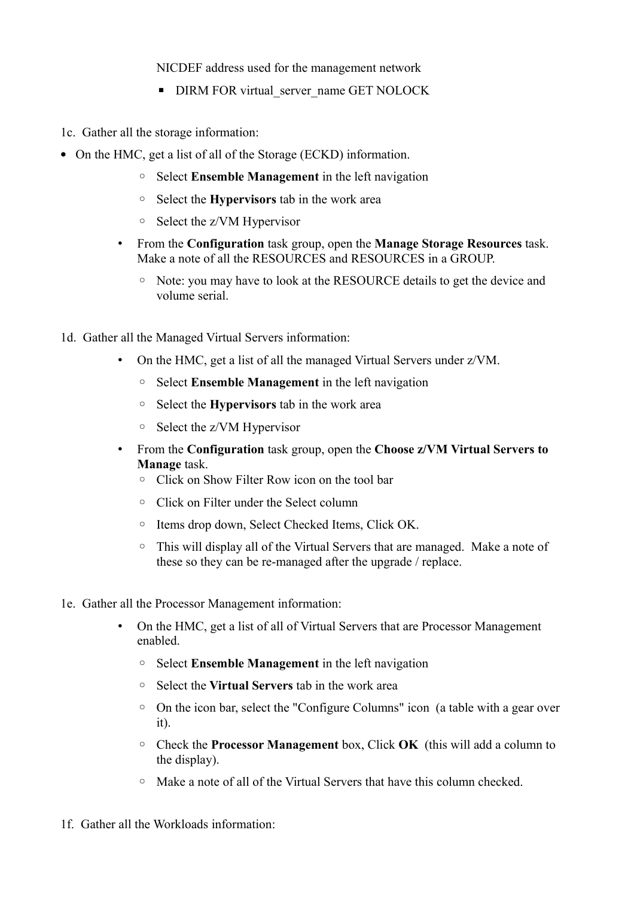NICDEF address used for the management network

- **DIRM FOR virtual\_server\_name GET NOLOCK**
- 1c. Gather all the storage information:
- On the HMC, get a list of all of the Storage (ECKD) information.
	- Select **Ensemble Management** in the left navigation
	- Select the **Hypervisors** tab in the work area
	- Select the z/VM Hypervisor
	- From the **Configuration** task group, open the **Manage Storage Resources** task. Make a note of all the RESOURCES and RESOURCES in a GROUP.
		- Note: you may have to look at the RESOURCE details to get the device and volume serial.
- 1d. Gather all the Managed Virtual Servers information:
	- On the HMC, get a list of all the managed Virtual Servers under z/VM.
		- Select **Ensemble Management** in the left navigation
		- Select the **Hypervisors** tab in the work area
		- Select the z/VM Hypervisor
	- From the **Configuration** task group, open the **Choose z/VM Virtual Servers to Manage** task.
		- Click on Show Filter Row icon on the tool bar
		- Click on Filter under the Select column
		- Items drop down, Select Checked Items, Click OK.
		- This will display all of the Virtual Servers that are managed. Make a note of these so they can be re-managed after the upgrade / replace.
- 1e. Gather all the Processor Management information:
	- On the HMC, get a list of all of Virtual Servers that are Processor Management enabled.
		- Select **Ensemble Management** in the left navigation
		- Select the **Virtual Servers** tab in the work area
		- On the icon bar, select the "Configure Columns" icon (a table with a gear over it).
		- Check the **Processor Management** box, Click **OK** (this will add a column to the display).
		- Make a note of all of the Virtual Servers that have this column checked.
- 1f. Gather all the Workloads information: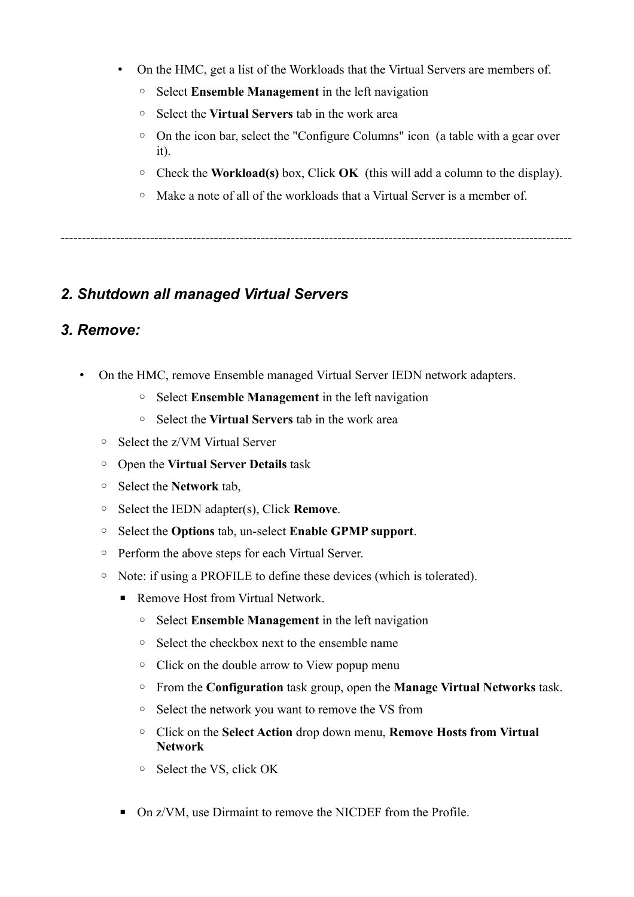- On the HMC, get a list of the Workloads that the Virtual Servers are members of.
	- Select **Ensemble Management** in the left navigation
	- Select the **Virtual Servers** tab in the work area
	- On the icon bar, select the "Configure Columns" icon (a table with a gear over it).
	- Check the **Workload(s)** box, Click **OK** (this will add a column to the display).
	- Make a note of all of the workloads that a Virtual Server is a member of.

------------------------------------------------------------------------------------------------------------------------

### *2. Shutdown all managed Virtual Servers*

### *3. Remove:*

- On the HMC, remove Ensemble managed Virtual Server IEDN network adapters.
	- Select **Ensemble Management** in the left navigation
	- Select the **Virtual Servers** tab in the work area
	- Select the z/VM Virtual Server
	- Open the **Virtual Server Details** task
	- Select the **Network** tab,
	- Select the IEDN adapter(s), Click **Remove**.
	- Select the **Options** tab, un-select **Enable GPMP support**.
	- Perform the above steps for each Virtual Server.
	- Note: if using a PROFILE to define these devices (which is tolerated).
		- Remove Host from Virtual Network.
			- Select **Ensemble Management** in the left navigation
			- Select the checkbox next to the ensemble name
			- Click on the double arrow to View popup menu
			- From the **Configuration** task group, open the **Manage Virtual Networks** task.
			- Select the network you want to remove the VS from
			- Click on the **Select Action** drop down menu, **Remove Hosts from Virtual Network**
			- Select the VS, click OK
		- On z/VM, use Dirmaint to remove the NICDEF from the Profile.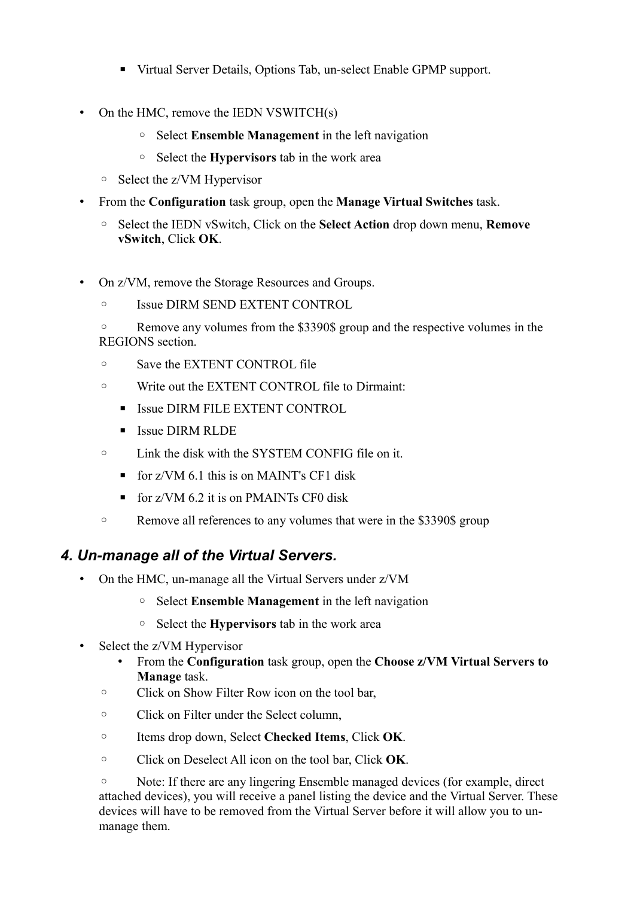- Virtual Server Details, Options Tab, un-select Enable GPMP support.
- On the HMC, remove the IEDN VSWITCH(s)
	- Select **Ensemble Management** in the left navigation
	- Select the **Hypervisors** tab in the work area
	- Select the z/VM Hypervisor
- From the **Configuration** task group, open the **Manage Virtual Switches** task.
	- Select the IEDN vSwitch, Click on the **Select Action** drop down menu, **Remove vSwitch**, Click **OK**.
- On z/VM, remove the Storage Resources and Groups.
	- Issue DIRM SEND EXTENT CONTROL
	- Remove any volumes from the \$3390\$ group and the respective volumes in the REGIONS section.
	- Save the EXTENT CONTROL file
	- Write out the EXTENT CONTROL file to Dirmaint:
		- **EXTENT CONTROL**
		- **E** Issue DIRM RLDE
	- Link the disk with the SYSTEM CONFIG file on it.
		- $\blacksquare$  for z/VM 6.1 this is on MAINT's CF1 disk
		- $\blacksquare$  for z/VM 6.2 it is on PMAINTs CF0 disk
	- Remove all references to any volumes that were in the \$3390\$ group

## *4. Un-manage all of the Virtual Servers.*

- On the HMC, un-manage all the Virtual Servers under z/VM
	- Select **Ensemble Management** in the left navigation
	- Select the **Hypervisors** tab in the work area
- Select the z/VM Hypervisor
	- From the **Configuration** task group, open the **Choose z/VM Virtual Servers to Manage** task.
	- Click on Show Filter Row icon on the tool bar,
	- Click on Filter under the Select column,
	- Items drop down, Select **Checked Items**, Click **OK**.
	- Click on Deselect All icon on the tool bar, Click **OK**.

◦ Note: If there are any lingering Ensemble managed devices (for example, direct attached devices), you will receive a panel listing the device and the Virtual Server. These devices will have to be removed from the Virtual Server before it will allow you to unmanage them.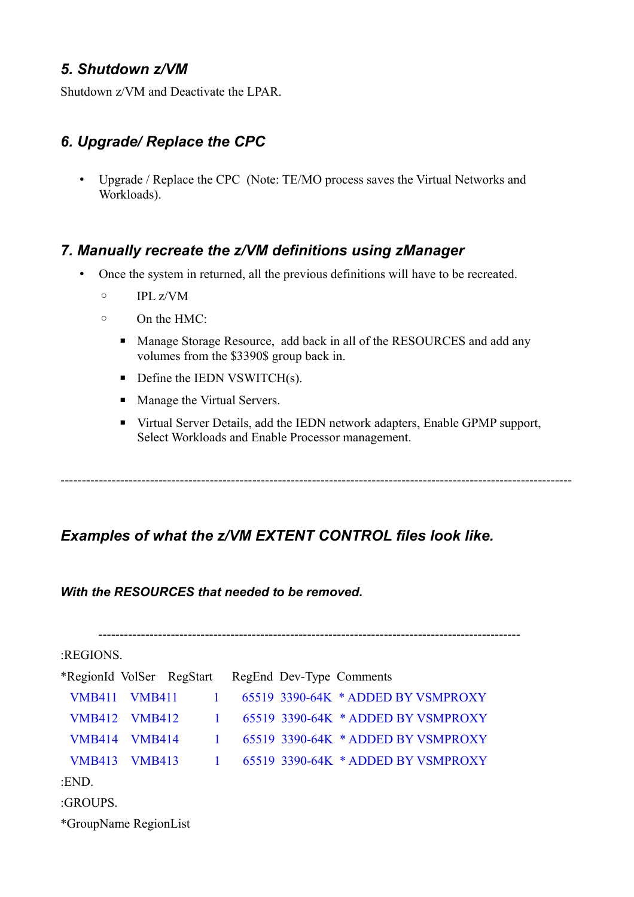### *5. Shutdown z/VM*

Shutdown z/VM and Deactivate the LPAR.

### *6. Upgrade/ Replace the CPC*

• Upgrade / Replace the CPC (Note: TE/MO process saves the Virtual Networks and Workloads).

### *7. Manually recreate the z/VM definitions using zManager*

- Once the system in returned, all the previous definitions will have to be recreated.
	- IPL z/VM
	- On the HMC:
		- Manage Storage Resource, add back in all of the RESOURCES and add any volumes from the \$3390\$ group back in.
		- $\blacksquare$  Define the IEDN VSWITCH(s).
		- Manage the Virtual Servers.
		- Virtual Server Details, add the IEDN network adapters, Enable GPMP support, Select Workloads and Enable Processor management.

------------------------------------------------------------------------------------------------------------------------

### *Examples of what the z/VM EXTENT CONTROL files look like.*

*With the RESOURCES that needed to be removed.* 

| :REGIONS.                                          |               |              |  |  |                                      |  |  |
|----------------------------------------------------|---------------|--------------|--|--|--------------------------------------|--|--|
| *RegionId VolSer RegStart RegEnd Dev-Type Comments |               |              |  |  |                                      |  |  |
| <b>VMB411 VMB411</b>                               |               | $\mathbf{1}$ |  |  | $65519$ 3390-64K * ADDED BY VSMPROXY |  |  |
| <b>VMB412 VMB412</b>                               |               | $\mathbf{1}$ |  |  | 65519 3390-64K * ADDED BY VSMPROXY   |  |  |
| <b>VMB414</b>                                      | <b>VMB414</b> | $\mathbf{1}$ |  |  | $65519$ 3390-64K * ADDED BY VSMPROXY |  |  |
| <b>VMB413 VMB413</b>                               |               | $\sim$ 1     |  |  | 65519 3390-64K * ADDED BY VSMPROXY   |  |  |
| :END.                                              |               |              |  |  |                                      |  |  |
| :GROUPS.                                           |               |              |  |  |                                      |  |  |
| *GroupName RegionList                              |               |              |  |  |                                      |  |  |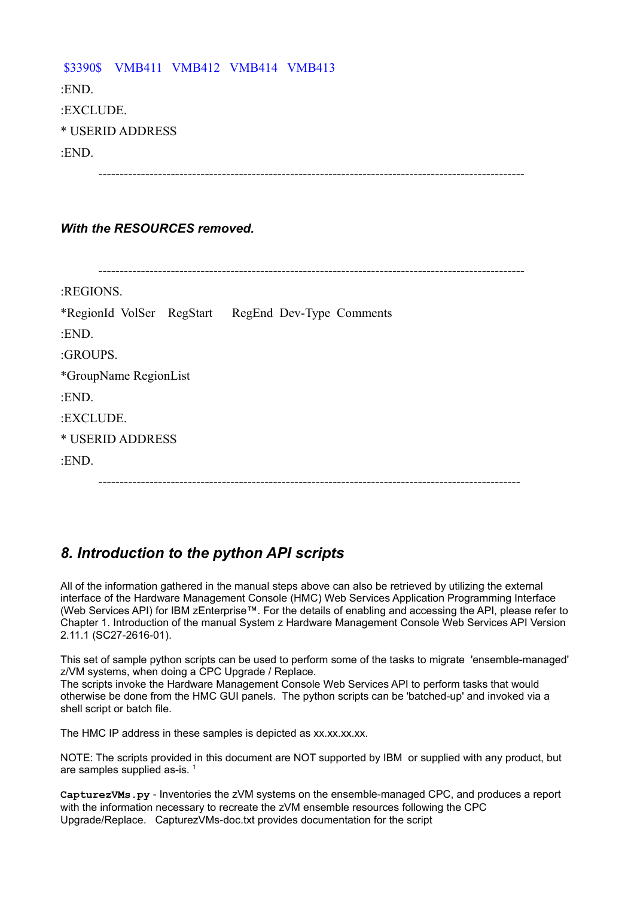\$3390\$ VMB411 VMB412 VMB414 VMB413 :END. :EXCLUDE. \* USERID ADDRESS :END. ----------------------------------------------------------------------------------------------------

### *With the RESOURCES removed.*

| :REGIONS.             |                                                    |
|-----------------------|----------------------------------------------------|
|                       | *RegionId VolSer RegStart RegEnd Dev-Type Comments |
| :END.                 |                                                    |
| :GROUPS.              |                                                    |
| *GroupName RegionList |                                                    |
| :END.                 |                                                    |
| :EXCLUDE.             |                                                    |
| * USERID ADDRESS      |                                                    |
| :END.                 |                                                    |
|                       |                                                    |

## *8. Introduction to the python API scripts*

All of the information gathered in the manual steps above can also be retrieved by utilizing the external interface of the Hardware Management Console (HMC) Web Services Application Programming Interface (Web Services API) for IBM zEnterprise™. For the details of enabling and accessing the API, please refer to Chapter 1. Introduction of the manual System z Hardware Management Console Web Services API Version 2.11.1 (SC27-2616-01).

This set of sample python scripts can be used to perform some of the tasks to migrate 'ensemble-managed' z/VM systems, when doing a CPC Upgrade / Replace.

The scripts invoke the Hardware Management Console Web Services API to perform tasks that would otherwise be done from the HMC GUI panels. The python scripts can be 'batched-up' and invoked via a shell script or batch file.

The HMC IP address in these samples is depicted as xx.xx.xx.xx.

NOTE: The scripts provided in this document are NOT supported by IBM or supplied with any product, but are samples supplied as-is.<sup>[1](#page-11-0)</sup>

**CapturezVMs.py** - Inventories the zVM systems on the ensemble-managed CPC, and produces a report with the information necessary to recreate the zVM ensemble resources following the CPC Upgrade/Replace. CapturezVMs-doc.txt provides documentation for the script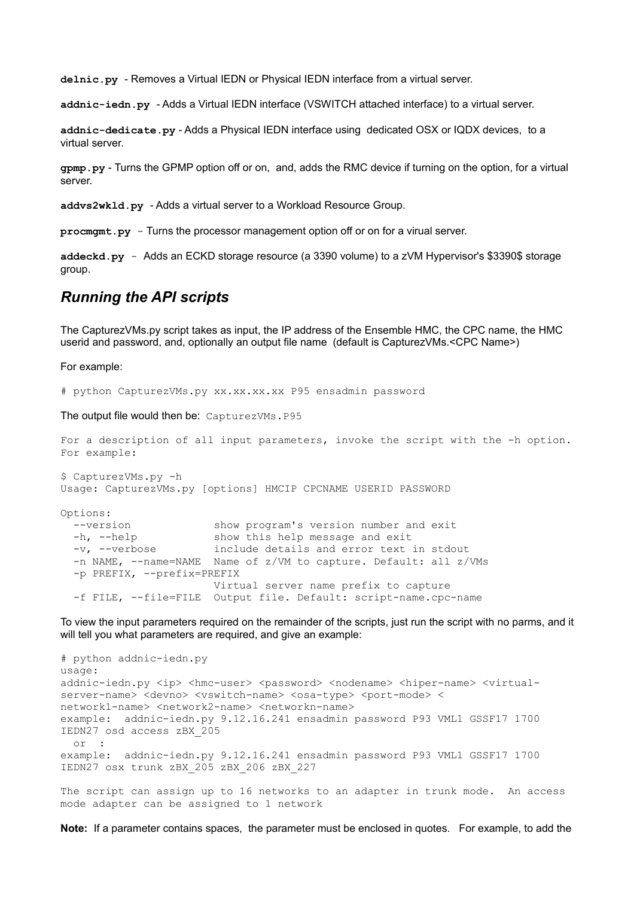**delnic.py** - Removes a Virtual IEDN or Physical IEDN interface from a virtual server.

**addnic-iedn.py** - Adds a Virtual IEDN interface (VSWITCH attached interface) to a virtual server.

**addnic-dedicate.py** - Adds a Physical IEDN interface using dedicated OSX or IQDX devices, to a virtual server.

**gpmp.py** - Turns the GPMP option off or on, and, adds the RMC device if turning on the option, for a virtual server.

**addvs2wkld.py** - Adds a virtual server to a Workload Resource Group.

**procmgmt.py** - Turns the processor management option off or on for a virual server.

**addeckd.py** - Adds an ECKD storage resource (a 3390 volume) to a zVM Hypervisor's \$3390\$ storage group.

### *Running the API scripts*

The CapturezVMs.py script takes as input, the IP address of the Ensemble HMC, the CPC name, the HMC userid and password, and, optionally an output file name (default is CapturezVMs.<CPC Name>)

For example:

# python CapturezVMs.py xx.xx.xx.xx P95 ensadmin password

The output file would then be: CapturezVMs.P95

```
For a description of all input parameters, invoke the script with the -h option.
For example: 
$ CapturezVMs.py -h
Usage: CapturezVMs.py [options] HMCIP CPCNAME USERID PASSWORD
Options:
  --version show program's version number and exit
 -h, --help show this help message and exit
  -v, --verbose include details and error text in stdout
  -n NAME, --name=NAME Name of z/VM to capture. Default: all z/VMs
  -p PREFIX, --prefix=PREFIX
                        Virtual server name prefix to capture
  -f FILE, --file=FILE Output file. Default: script-name.cpc-name
```
To view the input parameters required on the remainder of the scripts, just run the script with no parms, and it will tell you what parameters are required, and give an example:

# python addnic-iedn.py usage: addnic-iedn.py <ip> <hmc-user> <password> <nodename> <hiper-name> <virtualserver-name> <devno> <vswitch-name> <osa-type> <port-mode> < network1-name> <network2-name> <networkn-name> example: addnic-iedn.py 9.12.16.241 ensadmin password P93 VML1 GSSF17 1700 IEDN27 osd access zBX\_205 or : example: addnic-iedn.py 9.12.16.241 ensadmin password P93 VML1 GSSF17 1700 IEDN27 osx trunk zBX\_205 zBX\_206 zBX\_227 The script can assign up to 16 networks to an adapter in trunk mode. An access

mode adapter can be assigned to 1 network

**Note:** If a parameter contains spaces, the parameter must be enclosed in quotes. For example, to add the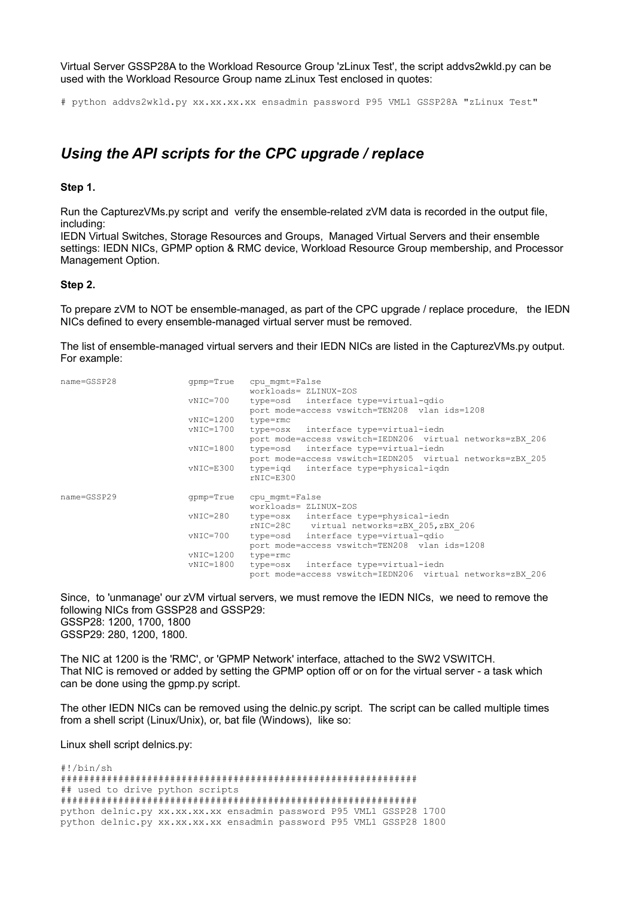Virtual Server GSSP28A to the Workload Resource Group 'zLinux Test', the script addvs2wkld.py can be used with the Workload Resource Group name zLinux Test enclosed in quotes:

# python addvs2wkld.py xx.xx.xx.xx ensadmin password P95 VML1 GSSP28A "zLinux Test"

### *Using the API scripts for the CPC upgrade / replace*

#### **Step 1.**

Run the CapturezVMs.py script and verify the ensemble-related zVM data is recorded in the output file, including:

IEDN Virtual Switches, Storage Resources and Groups, Managed Virtual Servers and their ensemble settings: IEDN NICs, GPMP option & RMC device, Workload Resource Group membership, and Processor Management Option.

#### **Step 2.**

To prepare zVM to NOT be ensemble-managed, as part of the CPC upgrade / replace procedure, the IEDN NICs defined to every ensemble-managed virtual server must be removed.

The list of ensemble-managed virtual servers and their IEDN NICs are listed in the CapturezVMs.py output. For example:

| name=GSSP28 | qpmp=True     | cpu mqmt=False                                            |
|-------------|---------------|-----------------------------------------------------------|
|             |               | workloads= ZLINUX-ZOS                                     |
|             | vNIC=700      | type=osd interface type=virtual-qdio                      |
|             |               | port mode=access vswitch=TEN208 vlan ids=1208             |
|             | vNIC=1200     | type=rmc                                                  |
|             | vNIC=1700     | type=osx interface type=virtual-iedn                      |
|             |               | port mode=access vswitch=IEDN206 virtual networks=zBX 206 |
|             | $vNIC = 1800$ | type=osd interface type=virtual-iedn                      |
|             |               | port mode=access vswitch=IEDN205 virtual networks=zBX 205 |
|             | vNIC=E300     | type=igd interface type=physical-igdn                     |
|             |               | $rNIC = E300$                                             |
| name=GSSP29 | qpmp=True     | cpu mqmt=False                                            |
|             |               | workloads= ZLINUX-ZOS                                     |
|             | vNIC=280      | type=osx interface type=physical-iedn                     |
|             |               | rNIC=28C virtual networks=zBX 205, zBX 206                |
|             | vNIC=700      | type=osd interface type=virtual-qdio                      |
|             |               | port mode=access vswitch=TEN208 vlan ids=1208             |
|             | vNIC=1200     | type=rmc                                                  |
|             | $vNIC = 1800$ | type=osx interface type=virtual-iedn                      |
|             |               | port mode=access vswitch=IEDN206 virtual networks=zBX 206 |

Since, to 'unmanage' our zVM virtual servers, we must remove the IEDN NICs, we need to remove the following NICs from GSSP28 and GSSP29: GSSP28: 1200, 1700, 1800 GSSP29: 280, 1200, 1800.

The NIC at 1200 is the 'RMC', or 'GPMP Network' interface, attached to the SW2 VSWITCH. That NIC is removed or added by setting the GPMP option off or on for the virtual server - a task which can be done using the gpmp.py script.

The other IEDN NICs can be removed using the delnic.py script. The script can be called multiple times from a shell script (Linux/Unix), or, bat file (Windows), like so:

Linux shell script delnics.py:

#!/bin/sh ############################################################## ## used to drive python scripts ############################################################## python delnic.py xx.xx.xx.xx ensadmin password P95 VML1 GSSP28 1700 python delnic.py xx.xx.xx.xx ensadmin password P95 VML1 GSSP28 1800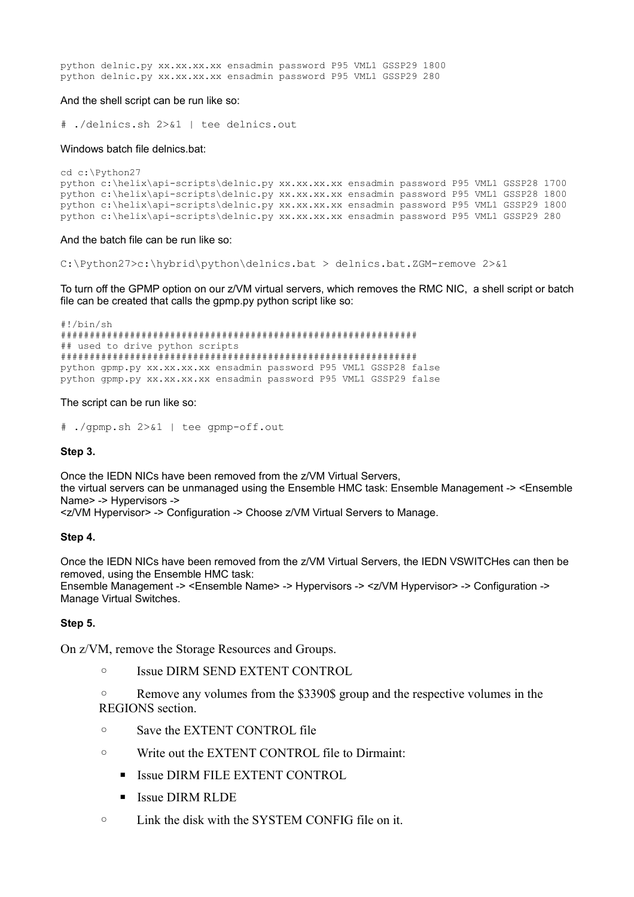python delnic.py xx.xx.xx.xx ensadmin password P95 VML1 GSSP29 1800 python delnic.py xx.xx.xx.xx ensadmin password P95 VML1 GSSP29 280

#### And the shell script can be run like so:

# ./delnics.sh 2>&1 | tee delnics.out

#### Windows batch file delnics.bat:

```
cd c:\Python27
python c:\helix\api-scripts\delnic.py xx.xx.xx.xx ensadmin password P95 VML1 GSSP28 1700
python c:\helix\api-scripts\delnic.py xx.xx.xx.xx ensadmin password P95 VML1 GSSP28 1800
python c:\helix\api-scripts\delnic.py xx.xx.xx.xx ensadmin password P95 VML1 GSSP29 1800
python c:\helix\api-scripts\delnic.py xx.xx.xx.xx ensadmin password P95 VML1 GSSP29 280
```
And the batch file can be run like so:

C:\Python27>c:\hybrid\python\delnics.bat > delnics.bat.ZGM-remove 2>&1

To turn off the GPMP option on our z/VM virtual servers, which removes the RMC NIC, a shell script or batch file can be created that calls the gpmp.py python script like so:

#!/bin/sh ############################################################## ## used to drive python scripts ############################################################## python gpmp.py xx.xx.xx.xx ensadmin password P95 VML1 GSSP28 false python gpmp.py xx.xx.xx.xx ensadmin password P95 VML1 GSSP29 false

#### The script can be run like so:

# ./gpmp.sh 2>&1 | tee gpmp-off.out

#### **Step 3.**

Once the IEDN NICs have been removed from the z/VM Virtual Servers, the virtual servers can be unmanaged using the Ensemble HMC task: Ensemble Management -> <Ensemble Name> -> Hypervisors -> <z/VM Hypervisor> -> Configuration -> Choose z/VM Virtual Servers to Manage.

#### **Step 4.**

Once the IEDN NICs have been removed from the z/VM Virtual Servers, the IEDN VSWITCHes can then be removed, using the Ensemble HMC task:

Ensemble Management -> <Ensemble Name> -> Hypervisors -> <z/VM Hypervisor> -> Configuration -> Manage Virtual Switches.

#### **Step 5.**

On z/VM, remove the Storage Resources and Groups.

◦ Issue DIRM SEND EXTENT CONTROL

◦ Remove any volumes from the \$3390\$ group and the respective volumes in the REGIONS section.

- Save the EXTENT CONTROL file
- Write out the EXTENT CONTROL file to Dirmaint:
	- **EXTENT CONTROL**
	- **E** Issue DIRM RLDE
- Link the disk with the SYSTEM CONFIG file on it.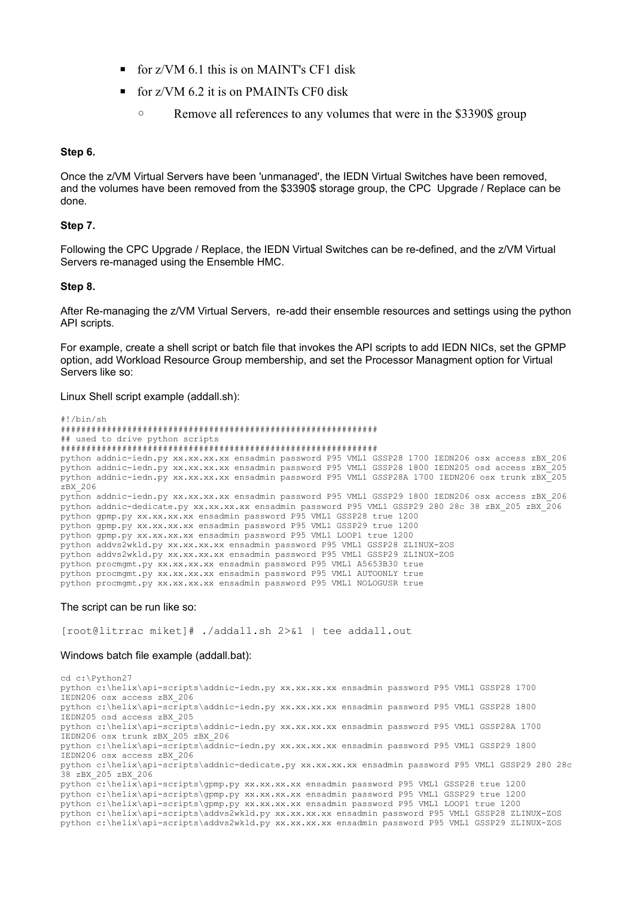- $\blacksquare$  for z/VM 6.1 this is on MAINT's CF1 disk
- $\blacksquare$  for z/VM 6.2 it is on PMAINTs CF0 disk
	- Remove all references to any volumes that were in the \$3390\$ group

#### **Step 6.**

Once the z/VM Virtual Servers have been 'unmanaged', the IEDN Virtual Switches have been removed, and the volumes have been removed from the \$3390\$ storage group, the CPC Upgrade / Replace can be done.

#### **Step 7.**

Following the CPC Upgrade / Replace, the IEDN Virtual Switches can be re-defined, and the z/VM Virtual Servers re-managed using the Ensemble HMC.

#### **Step 8.**

After Re-managing the z/VM Virtual Servers, re-add their ensemble resources and settings using the python API scripts.

For example, create a shell script or batch file that invokes the API scripts to add IEDN NICs, set the GPMP option, add Workload Resource Group membership, and set the Processor Managment option for Virtual Servers like so:

Linux Shell script example (addall.sh):

```
#!/bin/sh
##############################################################
## used to drive python scripts
##############################################################
python addnic-iedn.py xx.xx.xx.xx ensadmin password P95 VML1 GSSP28 1700 IEDN206 osx access zBX_206
python addnic-iedn.py xx.xx.xx.xx ensadmin password P95 VML1 GSSP28 1800 IEDN205 osd access zBX_205
python addnic-iedn.py xx.xx.xx.xx ensadmin password P95 VML1 GSSP28A 1700 IEDN206 osx trunk zBX_205
zBX_206
python addnic-iedn.py xx.xx.xx.xx ensadmin password P95 VML1 GSSP29 1800 IEDN206 osx access zBX_206
python addnic-dedicate.py xx.xx.xx.xx ensadmin password P95 VML1 GSSP29 280 28c 38 zBX_205 zBX_206
python gpmp.py xx.xx.xx.xx ensadmin password P95 VML1 GSSP28 true 1200
python gpmp.py xx.xx.xx.xx ensadmin password P95 VML1 GSSP29 true 1200
python gpmp.py xx.xx.xx.xx ensadmin password P95 VML1 LOOP1 true 1200
python addvs2wkld.py xx.xx.xx.xx ensadmin password P95 VML1 GSSP28 ZLINUX-ZOS
python addvs2wkld.py xx.xx.xx.xx ensadmin password P95 VML1 GSSP29 ZLINUX-ZOS
python procmgmt.py xx.xx.xx.xx ensadmin password P95 VML1 A5653B30 true
python procmgmt.py xx.xx.xx.xx ensadmin password P95 VML1 AUTOONLY true
python procmgmt.py xx.xx.xx.xx ensadmin password P95 VML1 NOLOGUSR true
```
#### The script can be run like so:

[root@litrrac miket]# ./addall.sh 2>&1 | tee addall.out

#### Windows batch file example (addall.bat):

cd c:\Python27 python c:\helix\api-scripts\addnic-iedn.py xx.xx.xx.xx ensadmin password P95 VML1 GSSP28 1700 IEDN206 osx access zBX\_206 python c:\helix\api-scripts\addnic-iedn.py xx.xx.xx.xx ensadmin password P95 VML1 GSSP28 1800 IEDN205 osd access zBX\_205 python c:\helix\api-scripts\addnic-iedn.py xx.xx.xx.xx ensadmin password P95 VML1 GSSP28A 1700 IEDN206 osx trunk zBX\_205 zBX\_206 python c:\helix\api-scripts\addnic-iedn.py xx.xx.xx.xx ensadmin password P95 VML1 GSSP29 1800 IEDN206 osx access zBX\_206 python c:\helix\api-scripts\addnic-dedicate.py xx.xx.xx.xx ensadmin password P95 VML1 GSSP29 280 28c 38 zBX\_205 zBX\_206 python c:\helix\api-scripts\gpmp.py xx.xx.xx.xx ensadmin password P95 VML1 GSSP28 true 1200 python c:\helix\api-scripts\gpmp.py xx.xx.xx.xx ensadmin password P95 VML1 GSSP29 true 1200 python c:\helix\api-scripts\gpmp.py xx.xx.xx.xx ensadmin password P95 VML1 LOOP1 true 1200 python c:\helix\api-scripts\addvs2wkld.py xx.xx.xx.xx ensadmin password P95 VML1 GSSP28 ZLINUX-ZOS python c:\helix\api-scripts\addvs2wkld.py xx.xx.xx.xx ensadmin password P95 VML1 GSSP29 ZLINUX-ZOS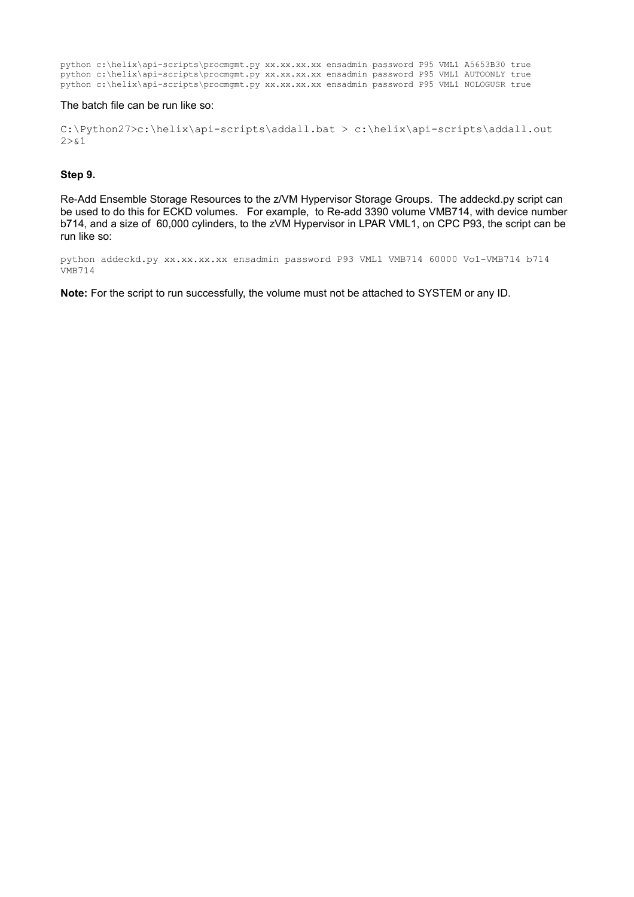python c:\helix\api-scripts\procmgmt.py xx.xx.xx.xx ensadmin password P95 VML1 A5653B30 true python c:\helix\api-scripts\procmgmt.py xx.xx.xx.xx ensadmin password P95 VML1 AUTOONLY true python c:\helix\api-scripts\procmgmt.py xx.xx.xx.xx ensadmin password P95 VML1 NOLOGUSR true

#### The batch file can be run like so:

C:\Python27>c:\helix\api-scripts\addall.bat > c:\helix\api-scripts\addall.out  $2 > 0.1$ 

#### **Step 9.**

Re-Add Ensemble Storage Resources to the z/VM Hypervisor Storage Groups. The addeckd.py script can be used to do this for ECKD volumes. For example, to Re-add 3390 volume VMB714, with device number b714, and a size of 60,000 cylinders, to the zVM Hypervisor in LPAR VML1, on CPC P93, the script can be run like so:

python addeckd.py xx.xx.xx.xx ensadmin password P93 VML1 VMB714 60000 Vol-VMB714 b714 VMB714

**Note:** For the script to run successfully, the volume must not be attached to SYSTEM or any ID.